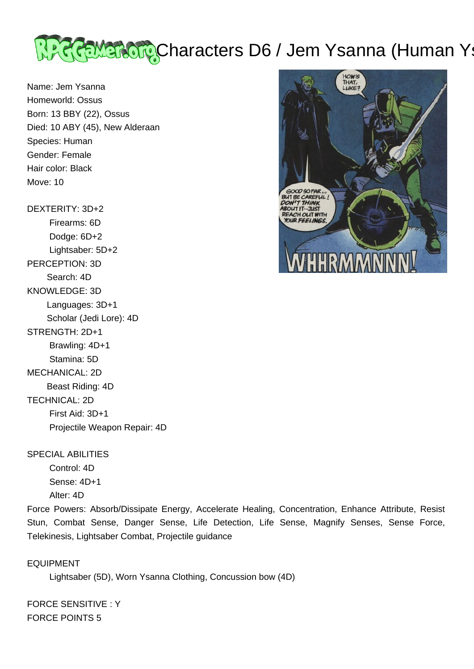

Name: Jem Ysanna Homeworld: Ossus Born: 13 BBY (22), Ossus Died: 10 ABY (45), New Alderaan Species: Human Gender: Female Hair color: Black Move: 10

DEXTERITY: 3D+2

 Firearms: 6D Dodge: 6D+2 Lightsaber: 5D+2 PERCEPTION: 3D Search: 4D KNOWLEDGE: 3D Languages: 3D+1 Scholar (Jedi Lore): 4D STRENGTH: 2D+1 Brawling: 4D+1 Stamina: 5D MECHANICAL: 2D Beast Riding: 4D TECHNICAL: 2D First Aid: 3D+1 Projectile Weapon Repair: 4D

SPECIAL ABILITIES

 Control: 4D Sense: 4D+1 Alter: 4D

Force Powers: Absorb/Dissipate Energy, Accelerate Healing, Concentration, Enhance Attribute, Resist Stun, Combat Sense, Danger Sense, Life Detection, Life Sense, Magnify Senses, Sense Force, Telekinesis, Lightsaber Combat, Projectile guidance

EQUIPMENT

Lightsaber (5D), Worn Ysanna Clothing, Concussion bow (4D)

FORCE SENSITIVE : Y FORCE POINTS 5

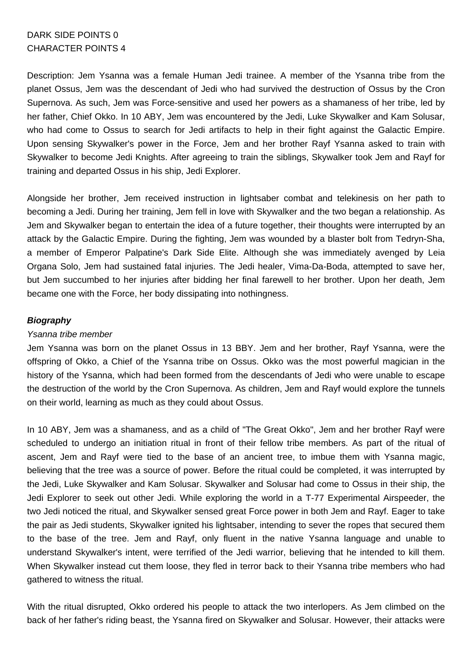# DARK SIDE POINTS 0 CHARACTER POINTS 4

Description: Jem Ysanna was a female Human Jedi trainee. A member of the Ysanna tribe from the planet Ossus, Jem was the descendant of Jedi who had survived the destruction of Ossus by the Cron Supernova. As such, Jem was Force-sensitive and used her powers as a shamaness of her tribe, led by her father, Chief Okko. In 10 ABY, Jem was encountered by the Jedi, Luke Skywalker and Kam Solusar, who had come to Ossus to search for Jedi artifacts to help in their fight against the Galactic Empire. Upon sensing Skywalker's power in the Force, Jem and her brother Rayf Ysanna asked to train with Skywalker to become Jedi Knights. After agreeing to train the siblings, Skywalker took Jem and Rayf for training and departed Ossus in his ship, Jedi Explorer.

Alongside her brother, Jem received instruction in lightsaber combat and telekinesis on her path to becoming a Jedi. During her training, Jem fell in love with Skywalker and the two began a relationship. As Jem and Skywalker began to entertain the idea of a future together, their thoughts were interrupted by an attack by the Galactic Empire. During the fighting, Jem was wounded by a blaster bolt from Tedryn-Sha, a member of Emperor Palpatine's Dark Side Elite. Although she was immediately avenged by Leia Organa Solo, Jem had sustained fatal injuries. The Jedi healer, Vima-Da-Boda, attempted to save her, but Jem succumbed to her injuries after bidding her final farewell to her brother. Upon her death, Jem became one with the Force, her body dissipating into nothingness.

# **Biography**

## Ysanna tribe member

Jem Ysanna was born on the planet Ossus in 13 BBY. Jem and her brother, Rayf Ysanna, were the offspring of Okko, a Chief of the Ysanna tribe on Ossus. Okko was the most powerful magician in the history of the Ysanna, which had been formed from the descendants of Jedi who were unable to escape the destruction of the world by the Cron Supernova. As children, Jem and Rayf would explore the tunnels on their world, learning as much as they could about Ossus.

In 10 ABY, Jem was a shamaness, and as a child of "The Great Okko", Jem and her brother Rayf were scheduled to undergo an initiation ritual in front of their fellow tribe members. As part of the ritual of ascent, Jem and Rayf were tied to the base of an ancient tree, to imbue them with Ysanna magic, believing that the tree was a source of power. Before the ritual could be completed, it was interrupted by the Jedi, Luke Skywalker and Kam Solusar. Skywalker and Solusar had come to Ossus in their ship, the Jedi Explorer to seek out other Jedi. While exploring the world in a T-77 Experimental Airspeeder, the two Jedi noticed the ritual, and Skywalker sensed great Force power in both Jem and Rayf. Eager to take the pair as Jedi students, Skywalker ignited his lightsaber, intending to sever the ropes that secured them to the base of the tree. Jem and Rayf, only fluent in the native Ysanna language and unable to understand Skywalker's intent, were terrified of the Jedi warrior, believing that he intended to kill them. When Skywalker instead cut them loose, they fled in terror back to their Ysanna tribe members who had gathered to witness the ritual.

With the ritual disrupted, Okko ordered his people to attack the two interlopers. As Jem climbed on the back of her father's riding beast, the Ysanna fired on Skywalker and Solusar. However, their attacks were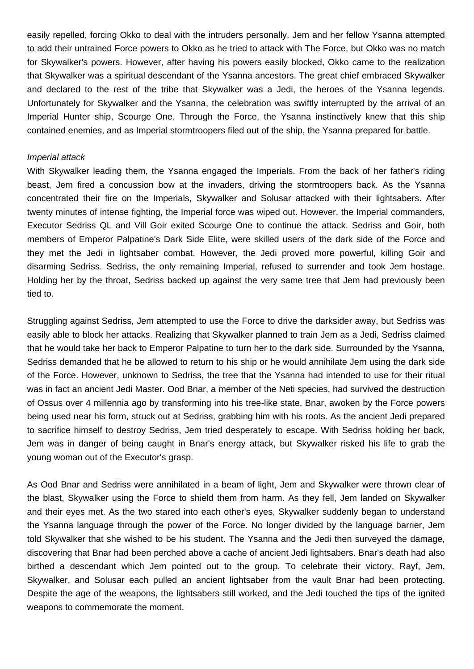easily repelled, forcing Okko to deal with the intruders personally. Jem and her fellow Ysanna attempted to add their untrained Force powers to Okko as he tried to attack with The Force, but Okko was no match for Skywalker's powers. However, after having his powers easily blocked, Okko came to the realization that Skywalker was a spiritual descendant of the Ysanna ancestors. The great chief embraced Skywalker and declared to the rest of the tribe that Skywalker was a Jedi, the heroes of the Ysanna legends. Unfortunately for Skywalker and the Ysanna, the celebration was swiftly interrupted by the arrival of an Imperial Hunter ship, Scourge One. Through the Force, the Ysanna instinctively knew that this ship contained enemies, and as Imperial stormtroopers filed out of the ship, the Ysanna prepared for battle.

#### Imperial attack

With Skywalker leading them, the Ysanna engaged the Imperials. From the back of her father's riding beast, Jem fired a concussion bow at the invaders, driving the stormtroopers back. As the Ysanna concentrated their fire on the Imperials, Skywalker and Solusar attacked with their lightsabers. After twenty minutes of intense fighting, the Imperial force was wiped out. However, the Imperial commanders, Executor Sedriss QL and Vill Goir exited Scourge One to continue the attack. Sedriss and Goir, both members of Emperor Palpatine's Dark Side Elite, were skilled users of the dark side of the Force and they met the Jedi in lightsaber combat. However, the Jedi proved more powerful, killing Goir and disarming Sedriss. Sedriss, the only remaining Imperial, refused to surrender and took Jem hostage. Holding her by the throat, Sedriss backed up against the very same tree that Jem had previously been tied to.

Struggling against Sedriss, Jem attempted to use the Force to drive the darksider away, but Sedriss was easily able to block her attacks. Realizing that Skywalker planned to train Jem as a Jedi, Sedriss claimed that he would take her back to Emperor Palpatine to turn her to the dark side. Surrounded by the Ysanna, Sedriss demanded that he be allowed to return to his ship or he would annihilate Jem using the dark side of the Force. However, unknown to Sedriss, the tree that the Ysanna had intended to use for their ritual was in fact an ancient Jedi Master. Ood Bnar, a member of the Neti species, had survived the destruction of Ossus over 4 millennia ago by transforming into his tree-like state. Bnar, awoken by the Force powers being used near his form, struck out at Sedriss, grabbing him with his roots. As the ancient Jedi prepared to sacrifice himself to destroy Sedriss, Jem tried desperately to escape. With Sedriss holding her back, Jem was in danger of being caught in Bnar's energy attack, but Skywalker risked his life to grab the young woman out of the Executor's grasp.

As Ood Bnar and Sedriss were annihilated in a beam of light, Jem and Skywalker were thrown clear of the blast, Skywalker using the Force to shield them from harm. As they fell, Jem landed on Skywalker and their eyes met. As the two stared into each other's eyes, Skywalker suddenly began to understand the Ysanna language through the power of the Force. No longer divided by the language barrier, Jem told Skywalker that she wished to be his student. The Ysanna and the Jedi then surveyed the damage, discovering that Bnar had been perched above a cache of ancient Jedi lightsabers. Bnar's death had also birthed a descendant which Jem pointed out to the group. To celebrate their victory, Rayf, Jem, Skywalker, and Solusar each pulled an ancient lightsaber from the vault Bnar had been protecting. Despite the age of the weapons, the lightsabers still worked, and the Jedi touched the tips of the ignited weapons to commemorate the moment.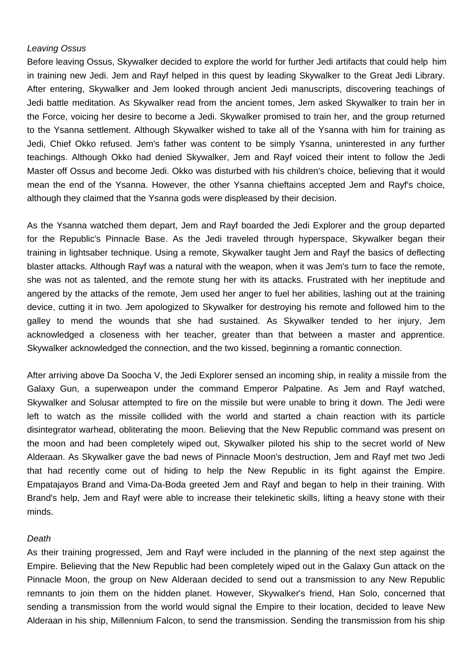### Leaving Ossus

Before leaving Ossus, Skywalker decided to explore the world for further Jedi artifacts that could help him in training new Jedi. Jem and Rayf helped in this quest by leading Skywalker to the Great Jedi Library. After entering, Skywalker and Jem looked through ancient Jedi manuscripts, discovering teachings of Jedi battle meditation. As Skywalker read from the ancient tomes, Jem asked Skywalker to train her in the Force, voicing her desire to become a Jedi. Skywalker promised to train her, and the group returned to the Ysanna settlement. Although Skywalker wished to take all of the Ysanna with him for training as Jedi, Chief Okko refused. Jem's father was content to be simply Ysanna, uninterested in any further teachings. Although Okko had denied Skywalker, Jem and Rayf voiced their intent to follow the Jedi Master off Ossus and become Jedi. Okko was disturbed with his children's choice, believing that it would mean the end of the Ysanna. However, the other Ysanna chieftains accepted Jem and Rayf's choice, although they claimed that the Ysanna gods were displeased by their decision.

As the Ysanna watched them depart, Jem and Rayf boarded the Jedi Explorer and the group departed for the Republic's Pinnacle Base. As the Jedi traveled through hyperspace, Skywalker began their training in lightsaber technique. Using a remote, Skywalker taught Jem and Rayf the basics of deflecting blaster attacks. Although Rayf was a natural with the weapon, when it was Jem's turn to face the remote, she was not as talented, and the remote stung her with its attacks. Frustrated with her ineptitude and angered by the attacks of the remote, Jem used her anger to fuel her abilities, lashing out at the training device, cutting it in two. Jem apologized to Skywalker for destroying his remote and followed him to the galley to mend the wounds that she had sustained. As Skywalker tended to her injury, Jem acknowledged a closeness with her teacher, greater than that between a master and apprentice. Skywalker acknowledged the connection, and the two kissed, beginning a romantic connection.

After arriving above Da Soocha V, the Jedi Explorer sensed an incoming ship, in reality a missile from the Galaxy Gun, a superweapon under the command Emperor Palpatine. As Jem and Rayf watched, Skywalker and Solusar attempted to fire on the missile but were unable to bring it down. The Jedi were left to watch as the missile collided with the world and started a chain reaction with its particle disintegrator warhead, obliterating the moon. Believing that the New Republic command was present on the moon and had been completely wiped out, Skywalker piloted his ship to the secret world of New Alderaan. As Skywalker gave the bad news of Pinnacle Moon's destruction, Jem and Rayf met two Jedi that had recently come out of hiding to help the New Republic in its fight against the Empire. Empatajayos Brand and Vima-Da-Boda greeted Jem and Rayf and began to help in their training. With Brand's help, Jem and Rayf were able to increase their telekinetic skills, lifting a heavy stone with their minds.

#### Death

As their training progressed, Jem and Rayf were included in the planning of the next step against the Empire. Believing that the New Republic had been completely wiped out in the Galaxy Gun attack on the Pinnacle Moon, the group on New Alderaan decided to send out a transmission to any New Republic remnants to join them on the hidden planet. However, Skywalker's friend, Han Solo, concerned that sending a transmission from the world would signal the Empire to their location, decided to leave New Alderaan in his ship, Millennium Falcon, to send the transmission. Sending the transmission from his ship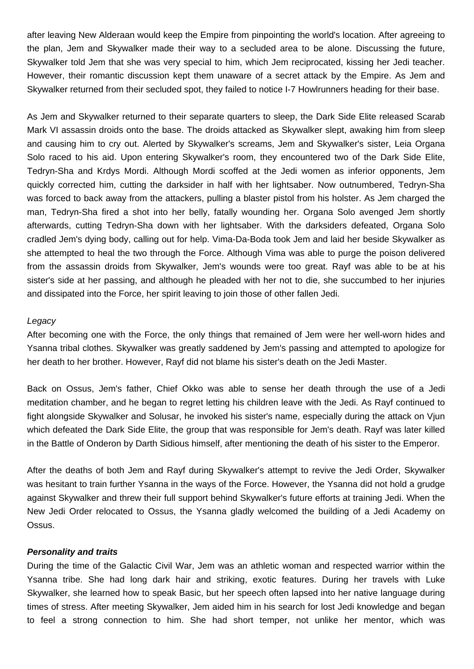after leaving New Alderaan would keep the Empire from pinpointing the world's location. After agreeing to the plan, Jem and Skywalker made their way to a secluded area to be alone. Discussing the future, Skywalker told Jem that she was very special to him, which Jem reciprocated, kissing her Jedi teacher. However, their romantic discussion kept them unaware of a secret attack by the Empire. As Jem and Skywalker returned from their secluded spot, they failed to notice I-7 Howlrunners heading for their base.

As Jem and Skywalker returned to their separate quarters to sleep, the Dark Side Elite released Scarab Mark VI assassin droids onto the base. The droids attacked as Skywalker slept, awaking him from sleep and causing him to cry out. Alerted by Skywalker's screams, Jem and Skywalker's sister, Leia Organa Solo raced to his aid. Upon entering Skywalker's room, they encountered two of the Dark Side Elite, Tedryn-Sha and Krdys Mordi. Although Mordi scoffed at the Jedi women as inferior opponents, Jem quickly corrected him, cutting the darksider in half with her lightsaber. Now outnumbered, Tedryn-Sha was forced to back away from the attackers, pulling a blaster pistol from his holster. As Jem charged the man, Tedryn-Sha fired a shot into her belly, fatally wounding her. Organa Solo avenged Jem shortly afterwards, cutting Tedryn-Sha down with her lightsaber. With the darksiders defeated, Organa Solo cradled Jem's dying body, calling out for help. Vima-Da-Boda took Jem and laid her beside Skywalker as she attempted to heal the two through the Force. Although Vima was able to purge the poison delivered from the assassin droids from Skywalker, Jem's wounds were too great. Rayf was able to be at his sister's side at her passing, and although he pleaded with her not to die, she succumbed to her injuries and dissipated into the Force, her spirit leaving to join those of other fallen Jedi.

#### Legacy

After becoming one with the Force, the only things that remained of Jem were her well-worn hides and Ysanna tribal clothes. Skywalker was greatly saddened by Jem's passing and attempted to apologize for her death to her brother. However, Rayf did not blame his sister's death on the Jedi Master.

Back on Ossus, Jem's father, Chief Okko was able to sense her death through the use of a Jedi meditation chamber, and he began to regret letting his children leave with the Jedi. As Rayf continued to fight alongside Skywalker and Solusar, he invoked his sister's name, especially during the attack on Vjun which defeated the Dark Side Elite, the group that was responsible for Jem's death. Rayf was later killed in the Battle of Onderon by Darth Sidious himself, after mentioning the death of his sister to the Emperor.

After the deaths of both Jem and Rayf during Skywalker's attempt to revive the Jedi Order, Skywalker was hesitant to train further Ysanna in the ways of the Force. However, the Ysanna did not hold a grudge against Skywalker and threw their full support behind Skywalker's future efforts at training Jedi. When the New Jedi Order relocated to Ossus, the Ysanna gladly welcomed the building of a Jedi Academy on Ossus.

#### **Personality and traits**

During the time of the Galactic Civil War, Jem was an athletic woman and respected warrior within the Ysanna tribe. She had long dark hair and striking, exotic features. During her travels with Luke Skywalker, she learned how to speak Basic, but her speech often lapsed into her native language during times of stress. After meeting Skywalker, Jem aided him in his search for lost Jedi knowledge and began to feel a strong connection to him. She had short temper, not unlike her mentor, which was